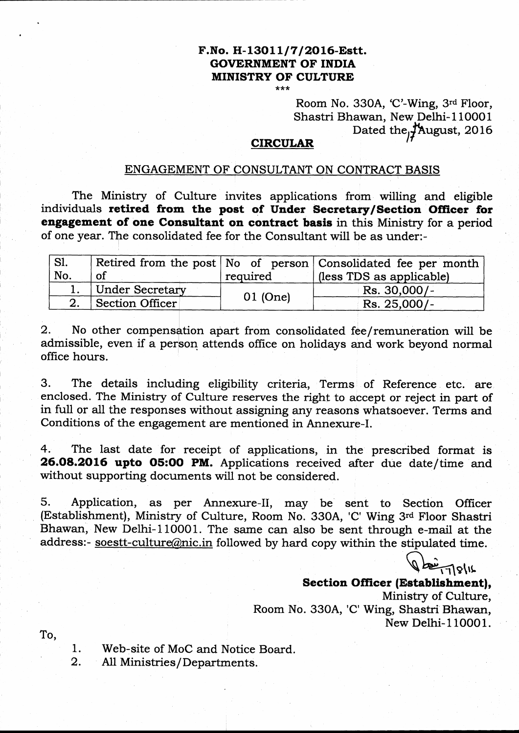# F.No. H-13011/7/2016-Estt. GOVERNMENT OF INDIA MINISTRY OF CULTURE

k\*

Room No. 330A, 'C'-Wing, 3rd Floor, Shastri Bhawan, New Delhi-110001 Dated the  $f$ August, 2016

### **CIRCULAR**

### ENGAGEMENT OF CONSULTANT ON CONTRACT BASIS

The Ministry of Culture invites applications from willing and eligible individuals retired from the post of Under Secretary/Section Officer for engagement of one Consultant on contract basis in this Ministry for a period of one year. The consolidated fee for the Consultant will be as under:-

| $^{\prime}$ S1. |                    |          | Retired from the post No of person Consolidated fee per month |
|-----------------|--------------------|----------|---------------------------------------------------------------|
| No.             | <sub>of</sub>      | required | (less TDS as applicable)                                      |
|                 | 1. Under Secretary |          | Rs. 30,000/-                                                  |
|                 | Section Officer    | 01 (One) | Rs. 25,000/-                                                  |

2. No other compensation apart from consolidated fee/remuneration will be admissible, even if a person attends office on holidays and work beyond normal office hours.

3. The details including eligibility criteria, Terms of Reference etc. are enclosed. The Ministry of Culture reseryes the right to accept or reject in part of in full or all the responses without assigning any reasons whatsoever. Terms and Conditions of the engagement are mentioned in Annexure-I.

4. The last date for receipt of applications, in the prescribed format is 26.08.2016 upto O5:OO PM. Applications received after due date/time and without supporting documents will not be considered.

5. Application, as per Annexure-II, may be sent to Section Officer (Establishment), Ministry of Culture, Room No. 330A, 'C' Wing 3'a Floor Shastri Bhawan, New Delhi-110001. The same can also be sent through e-mail at the address:- soestt-culture@nic.in followed by hard copy within the stipulated time.

 $\frac{1}{2}$ 

# Section Officer (Establishment),

Ministry of Culture, Room No. 330A, 'C' Wing, Shastri Bhawan, New Delhi- 1 1OOO 1.

To,

1. Web-site of MoC and Notice Board.<br>2. All Ministries/Departments.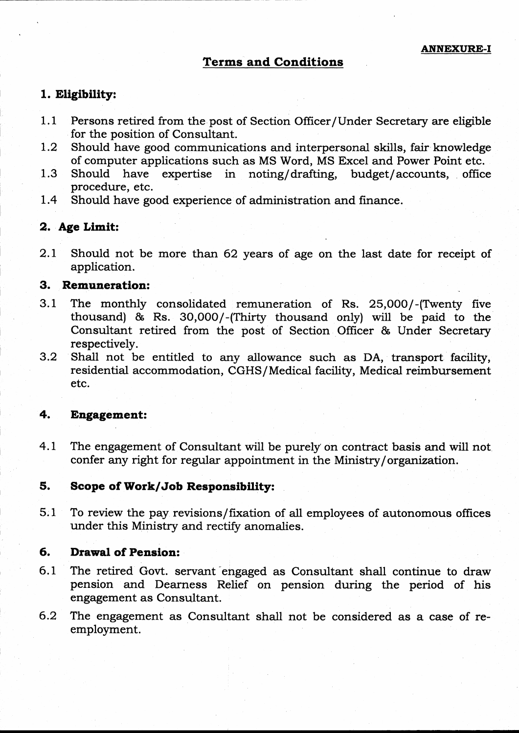### 'ferms and Conditions

### 1. Eligibility:

- 1.1 Persons retired from the post of Section Officer/Under Secretary are eligible for the position of Consultant.
- L.2 Should have good communications and interpersonal skills, fair knowledge of computer applications such as MS Word, MS Excel and Power Point etc.
- 1.3 Should have expertise in noting/drafting, budget/accounts, office procedure, etc.
- 1.4 Should have good experience of administration and finance.

### 2. Age Limit:

2.L Should not be more than 62 years of age on the last date for receipt of application.

### 3. Remuneration:

- 3.1 The monthly consolidated remuneration of Rs. 25,000/-(Twenty five thousand) & Rs. 3O,OOO/-(Thirty thousand only) will be paid to the Consultant retired from the post of Section Officer & Under Secretary respectively.
- 3.2 Shall not be entitled to any allowance such as DA, transport facility, residential accommodation, CGHS/Medical facility, Medical reimbursement etc.

### +. Engagemeat:

The engagement of Consultant will be purely on contract basis and will not confer any right for regular appointment in the Ministry/organization: 4.L

#### Scope of Work/Job Responsibility: 5.

To review the pay revisions/fixation of all employees of autonomous offices under this Ministry and rectify anomalies. 5;1

#### Drawal of Pension: 6.

- The retired Govt. servant engaged as Consultant shall continue to draw pension 'and Dearness Relief on pension during the period of his engagement as Consultant. 6.1
- The engagement as Consultant shall not be considered as a case of reemployment. 6.2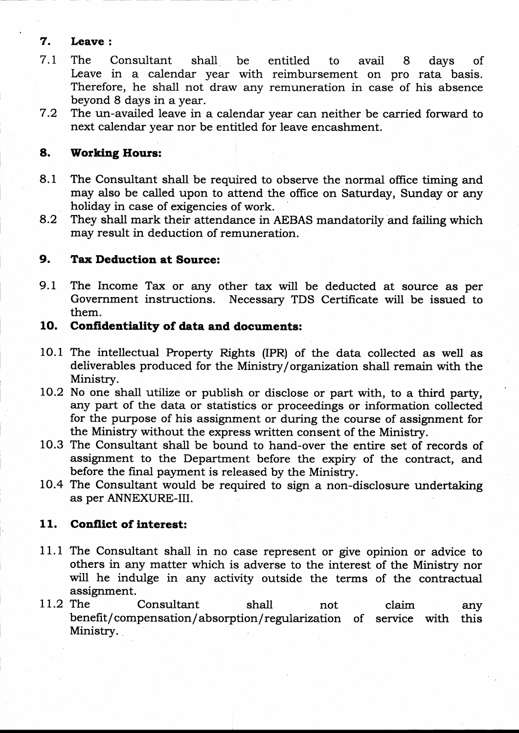## 7. Leave :

- 7.L The Consultant shall be entitled to avail 8 days of Leave in a calendar year with reimbursement on pro rata basis. Therefore, he shall not draw any remuneration in case of his absence beyond 8 days in a year.
- 7.2 The un-availed leave in a calendar year can neither be carried forward to next calendar year nor be entifled for leave encashment.

# 8. Working Hours:

- 8.1 The Consultant shall be required to observe the normal office timing and may also be called upon to attend the office on Saturday, Sunday or any holiday in case of exigencies of work.
- 8.2 They shall mark their attendance in AEBAS mandatorily and failing which may result in deduction of remuneration.

# 9. Tax Deduction at Source:

9.1 The Income Tax or any other tax will be deducted at source as per Government instructions. Necessary TDS Certificate will be issued to them.

# 10. Confidentiality of data and documents:

- 10.1 The intellectual Property Rights (IPR) of the data collected as well as deliverables produced for the Ministry/organization shall remain with the Ministry.
- lO.2 No one shatl utilize or publish or disclose or part with, to a third party, any part of the data or statistics or proceedings or information collected for the purpose of his assignment or during the course of assignment for the Ministry without the express written consent of the Ministry.
- 10.3 The Consultant shall be bound to hand-over the entire set of records of assignment to the Department before the expiry of the contract, and before the final payment is released by the Ministry.
- 10.4 The Consultant would be required to sign a non-disclosure undertaking as per ANNEXURE-III.

# 11. Conflict of interest:

- 11.1 The Consultant shall in no case represent or give opinion or advice to others in any matter which is adverse to the interest of the Ministry nor will he indulge in any activity outside the terms of the contractual assignment.
- 11.2 The Consultant shall not claim any The Consultant shall not claim any<br>benefit/compensation/absorption/regularization of service with this Ministry. shall not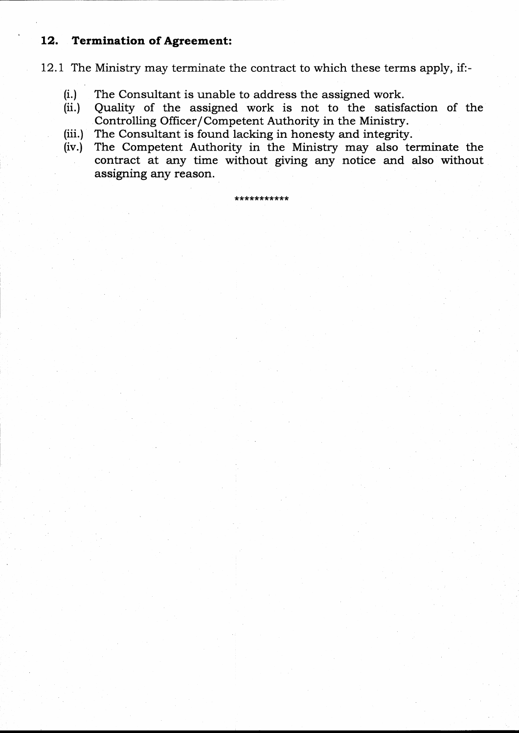# 12. Termination of Agreement:

L2.L The Ministry may terminate the contract to which these terms apply, if:-

- (i.) The Consultant is unable to address the assigned work.
- (ii.) Quality of the assigned work is not to the satisfaction of the Controlling Officer/Competent Authority in the Ministry.
- (iii.) The Consultant is found lacking in honesty and integrity.
- (iv.) The Competent Authority in the Ministry may also terminate the contract at any time without giving any notice and also without assigning any reason.

\*\*\*\*\*\*\*\*\*\*\*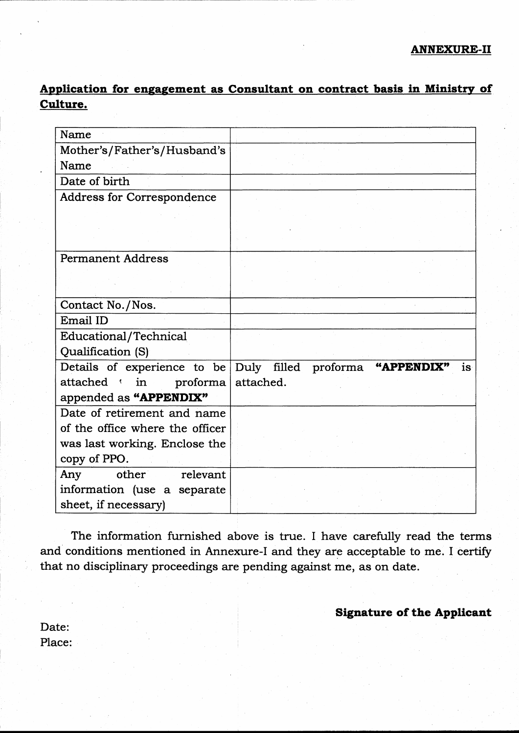Application for engagement as Consultant on contract basis in Ministry of Culture.

| Name                              |                                       |
|-----------------------------------|---------------------------------------|
| Mother's/Father's/Husband's       |                                       |
| Name                              |                                       |
| Date of birth                     |                                       |
| <b>Address for Correspondence</b> |                                       |
|                                   |                                       |
|                                   |                                       |
|                                   |                                       |
| <b>Permanent Address</b>          |                                       |
|                                   |                                       |
|                                   |                                       |
| Contact No./Nos.                  |                                       |
| Email ID                          |                                       |
| Educational/Technical             |                                       |
| Qualification (S)                 |                                       |
| Details of experience to be       | Duly filled proforma "APPENDIX"<br>is |
| attached in proforma              | attached.                             |
| appended as "APPENDIX"            |                                       |
| Date of retirement and name       |                                       |
| of the office where the officer   |                                       |
| was last working. Enclose the     |                                       |
| copy of PPO.                      |                                       |
| other<br>relevant<br>Any          |                                       |
| information (use a separate       |                                       |
| sheet, if necessary)              |                                       |

The information furnished above is true. I have carefully read the terms and conditions mentioned in Annexure-I and they are acceptable to me. I certify that no disciplinary proceedings are pending against me, as on date.

Signature of the Applicant

Date: Place: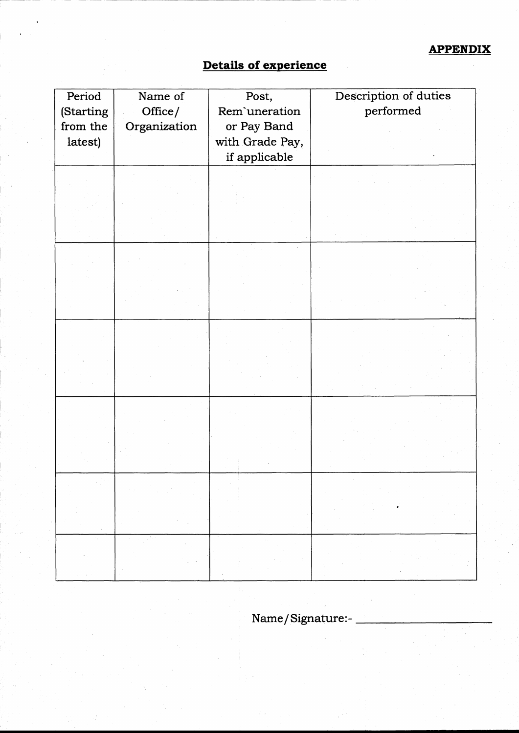# Details of experience

I

t

| Period    | Name of      | Post,           | Description of duties |
|-----------|--------------|-----------------|-----------------------|
| (Starting | Office/      | Rem'uneration   | performed             |
| from the  | Organization | or Pay Band     |                       |
| latest)   |              | with Grade Pay, |                       |
|           |              | if applicable   |                       |
|           |              |                 |                       |
|           |              |                 |                       |
|           |              |                 |                       |
|           |              |                 |                       |
|           |              |                 |                       |
|           |              |                 |                       |
|           |              |                 |                       |
|           |              |                 |                       |
|           |              |                 |                       |
|           |              |                 |                       |
|           |              |                 |                       |
|           |              |                 |                       |
|           |              |                 |                       |
|           |              |                 |                       |
|           |              |                 |                       |
|           |              |                 |                       |
|           |              |                 |                       |
|           |              |                 |                       |
|           |              |                 |                       |
|           |              |                 |                       |
|           |              |                 |                       |
|           |              |                 |                       |
|           |              |                 |                       |
|           |              |                 |                       |
|           |              |                 |                       |
|           |              |                 |                       |
|           |              |                 |                       |
|           |              |                 |                       |

Name/Signature:-